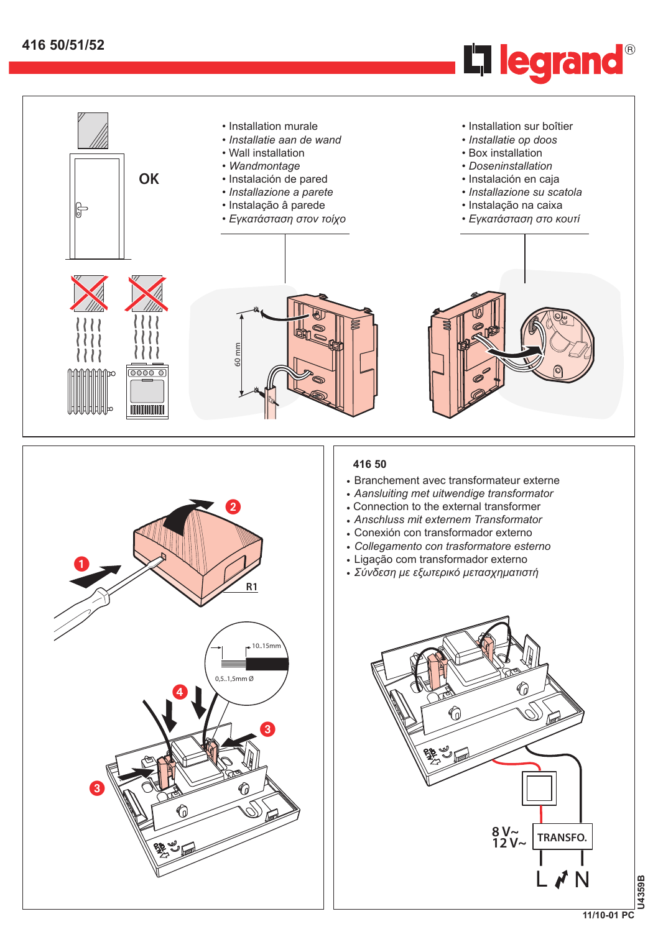



- *• Aansluiting met uitwendige transformator*
- Connection to the external transformer
- *• Anschluss mit externem Transformator*
- Conexión con transformador externo
- *• Collegamento con trasformatore esterno*
- Ligação com transformador externo
- *• Σύνδεση με εξωτερικό μετασχηματιστή*